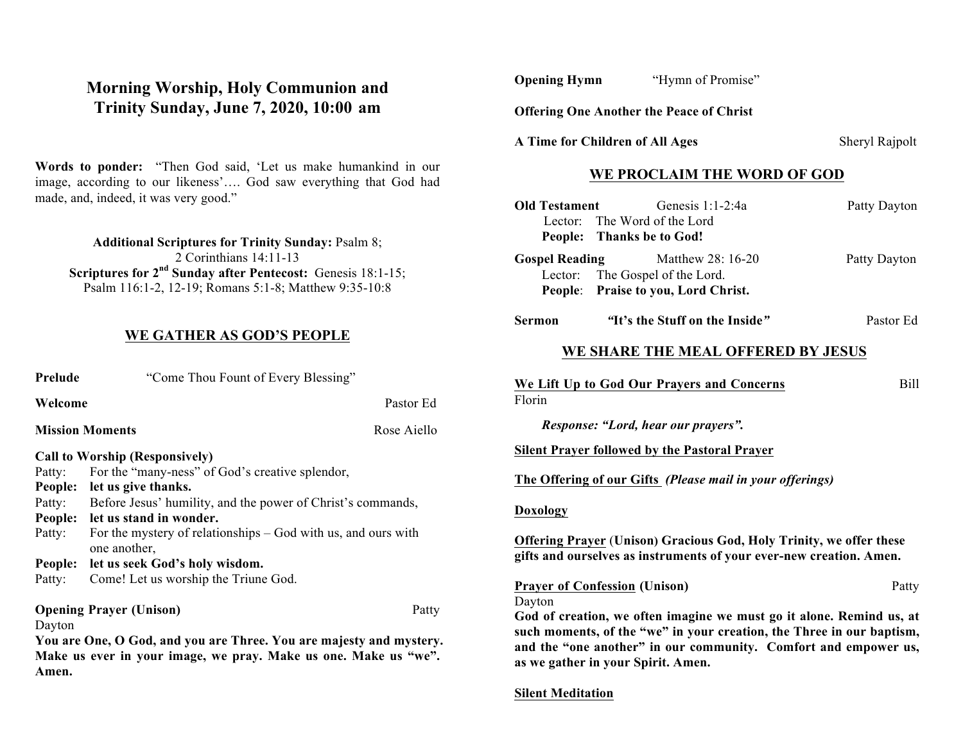## **Morning Worship, Holy Communion and Trinity Sunday, June 7, 2020, 10:00 am**

**Words to ponder:** "Then God said, 'Let us make humankind in our image, according to our likeness'…. God saw everything that God had made, and, indeed, it was very good."

**Additional Scriptures for Trinity Sunday:** Psalm 8; 2 Corinthians 14:11-13 **Scriptures for 2<sup>nd</sup> Sunday after Pentecost:** Genesis 18:1-15; Psalm 116:1-2, 12-19; Romans 5:1-8; Matthew 9:35-10:8

#### **WE GATHER AS GOD'S PEOPLE**

| Prelude | "Come Thou Fount of Every Blessing"                                             |             |  |
|---------|---------------------------------------------------------------------------------|-------------|--|
| Welcome | Pastor Ed                                                                       |             |  |
|         | <b>Mission Moments</b>                                                          | Rose Aiello |  |
|         | <b>Call to Worship (Responsively)</b>                                           |             |  |
| Patty:  | For the "many-ness" of God's creative splendor,                                 |             |  |
| People: | let us give thanks.                                                             |             |  |
| Patty:  | Before Jesus' humility, and the power of Christ's commands,                     |             |  |
| People: | let us stand in wonder.                                                         |             |  |
| Patty:  | For the mystery of relationships $-$ God with us, and ours with<br>one another, |             |  |
| People: | let us seek God's holy wisdom.                                                  |             |  |
| Patty:  | Come! Let us worship the Triune God.                                            |             |  |
|         | <b>Opening Prayer (Unison)</b>                                                  | Patty       |  |
| Dayton  |                                                                                 |             |  |
|         | $\sim$ $\sim$ $\sim$ $\sim$ $\sim$                                              |             |  |

**You are One, O God, and you are Three. You are majesty and mystery. Make us ever in your image, we pray. Make us one. Make us "we". Amen.**

**Offering One Another the Peace of Christ**

A Time for Children of All Ages Sheryl Rajpolt

## **WE PROCLAIM THE WORD OF GOD**

| <b>Old Testament</b>  | Genesis 1:1-2:4a<br>Lector: The Word of the Lord<br>People: Thanks be to God!                                                                                                                                    | Patty Dayton |
|-----------------------|------------------------------------------------------------------------------------------------------------------------------------------------------------------------------------------------------------------|--------------|
| <b>Gospel Reading</b> | Matthew 28: 16-20<br>Lector: The Gospel of the Lord.<br>People: Praise to you, Lord Christ.                                                                                                                      | Patty Dayton |
| <b>Sermon</b>         | "It's the Stuff on the Inside"                                                                                                                                                                                   | Pastor Ed    |
|                       | WE SHARE THE MEAL OFFERED BY JESUS                                                                                                                                                                               |              |
| Florin                | We Lift Up to God Our Prayers and Concerns<br>Response: "Lord, hear our prayers".<br><b>Silent Prayer followed by the Pastoral Prayer</b>                                                                        | Bill         |
|                       | The Offering of our Gifts (Please mail in your offerings)                                                                                                                                                        |              |
| <b>Doxology</b>       |                                                                                                                                                                                                                  |              |
|                       | <b>Offering Prayer (Unison) Gracious God, Holy Trinity, we offer these</b><br>gifts and ourselves as instruments of your ever-new creation. Amen.                                                                |              |
| Dayton                | <b>Prayer of Confession (Unison)</b>                                                                                                                                                                             | Patty        |
|                       | God of creation, we often imagine we must go it alone. Remind us, at<br>such moments, of the "we" in your creation, the Three in our baptism,<br>and the "one another" in our community. Comfort and empower us, |              |

**Silent Meditation**

**as we gather in your Spirit. Amen.**